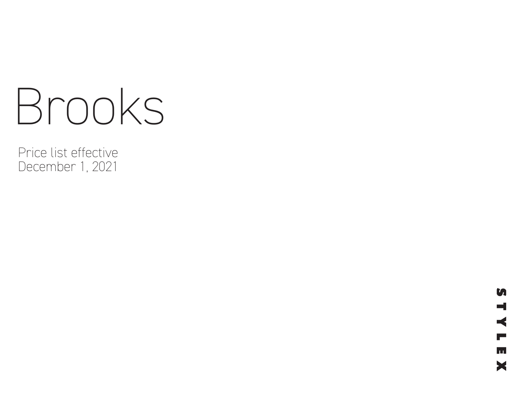# Brooks

Price list effective December 1, 2021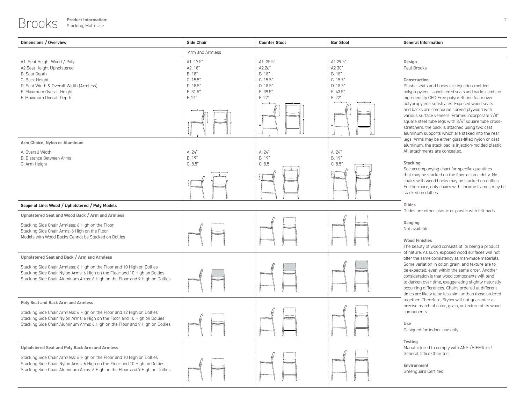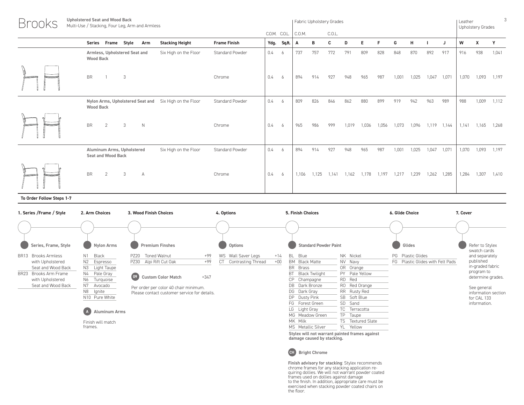| <b>Upholstered Seat and Wood Back</b><br>Multi-Use / Stacking, Four Leg, Arm and Armless |                        |               |        |       | Fabric Upholstery Grades |       |       |       |       |       |       |       | Leather | <b>Upholstery Grades</b> | 3     |
|------------------------------------------------------------------------------------------|------------------------|---------------|--------|-------|--------------------------|-------|-------|-------|-------|-------|-------|-------|---------|--------------------------|-------|
|                                                                                          |                        | C.O.M. C.O.L. | C.O.M. |       | C.O.L.                   |       |       |       |       |       |       |       |         |                          |       |
| Frame Style<br><b>Stacking Height</b><br><b>Frame Finish</b><br><b>Series</b><br>Arm     |                        | Ydg. Sq.ft.   | A      | В     | C                        | D     | Е     |       | G     | н     |       | J     | W       | Х                        | Y     |
| Armless, Upholstered Seat and<br>Six High on the Floor<br><b>Wood Back</b>               | Standard Powder<br>0.4 | 6             | 737    | 757   | 772                      | 791   | 809   | 828   | 848   | 870   | 892   | 917   | 916     | 938                      | 1,041 |
| <b>BR</b><br>3<br>Chrome                                                                 | 0.4                    | 6             | 894    | 914   | 927                      | 948   | 965   | 987   | 1,001 | 1,025 | 1,047 | 1,071 | 1,070   | 1,093                    | 1,197 |
| Nylon Arms, Upholstered Seat and Six High on the Floor<br><b>Wood Back</b>               | Standard Powder<br>0.4 | 6             | 809    | 826   | 846                      | 862   | 880   | 899   | 919   | 942   | 963   | 989   | 988     | 1,009                    | 1,112 |
| <b>BR</b><br>2<br>3<br>$\mathbb N$<br>Chrome                                             | 0.4                    | 6             | 965    | 986   | 999                      | 1,019 | 1,036 | 1,056 | 1,073 | 1,096 | 1.119 | 1,144 | 1.141   | 1,165                    | 1.268 |
| Aluminum Arms, Upholstered<br>Six High on the Floor<br><b>Seat and Wood Back</b>         | Standard Powder<br>0.4 | 6             | 894    | 914   | 927                      | 948   | 965   | 987   | 1,001 | 1,025 | 1,047 | 1,071 | 1,070   | 1,093                    | 1,197 |
| <b>BR</b><br>3<br>2<br>$\overline{A}$<br>Chrome                                          | 0.4                    | 6             | 1,106  | 1,125 | 1.141                    | 1,162 | 1,178 | 1,197 | 1,217 | 1,239 | 1,262 | 1,285 | 1,284   | 1,307                    | 1,410 |

| 1. Series / Frame / Style                                                                                                                  | 2. Arm Choices                                                                                                            | 3. Wood Finish Choices                                                                                                                                                                                                          | 4. Options                                                      |                | 5. Finish Choices                                                                                                                                                           |                                                                                                                               | 6. Glide Choice                                       | 7. Cover                                                                                                                                                |
|--------------------------------------------------------------------------------------------------------------------------------------------|---------------------------------------------------------------------------------------------------------------------------|---------------------------------------------------------------------------------------------------------------------------------------------------------------------------------------------------------------------------------|-----------------------------------------------------------------|----------------|-----------------------------------------------------------------------------------------------------------------------------------------------------------------------------|-------------------------------------------------------------------------------------------------------------------------------|-------------------------------------------------------|---------------------------------------------------------------------------------------------------------------------------------------------------------|
|                                                                                                                                            |                                                                                                                           |                                                                                                                                                                                                                                 |                                                                 |                |                                                                                                                                                                             |                                                                                                                               |                                                       |                                                                                                                                                         |
| Series, Frame, Style                                                                                                                       | Nylon Arms                                                                                                                | <b>Premium Finshes</b>                                                                                                                                                                                                          | Options                                                         |                | <b>Standard Powder Paint</b>                                                                                                                                                |                                                                                                                               | Glides                                                | Refer to Stylex<br>swatch cards                                                                                                                         |
| BR13 Brooks Armless<br>with Upholstered<br>Seat and Wood Back<br><b>BR23</b><br>Brooks Arm Frame<br>with Upholstered<br>Seat and Wood Back | N1 Black<br>N2 Espresso<br>N3 Light Taupe<br>N4 Pale Gray<br>N6<br>Turquoise<br>N7 Avocado<br>N8 Ignite<br>N10 Pure White | Toned Walnut<br>$+99$<br><b>PZ20</b><br>$+99$<br>Alpi Rift Cut Oak<br>PZ30<br>(0 <sup>2</sup> )<br>$+347$<br><b>Custom Color Match</b><br>Per order per color 40 chair minimum.<br>Please contact customer service for details. | Wall Saver Legs<br>WS<br><b>CT</b><br><b>Contrasting Thread</b> | $+14$<br>$+00$ | BL Blue<br><b>BM</b> Black Matte<br><b>BR</b><br>Brass<br>BT<br>Black Twilight<br>СP<br>Champagne<br>DB Dark Bronze<br>DG Dark Gray<br>DP.<br>Dusty Pink<br>FG Forest Green | NK Nickel<br>NV Navy<br>OR Orange<br>PY Pale Yellow<br>RD.<br>Red<br>RO Red Orange<br>RR Rusty Red<br>SB Soft Blue<br>SD Sand | PG Plastic Glides<br>FG Plastic Glides with Felt Pads | and separately<br>published<br>in-graded fabric<br>program to<br>determine grades.<br>See general<br>information section<br>for CAL 133<br>information. |
|                                                                                                                                            | (A)<br><b>Aluminum Arms</b>                                                                                               |                                                                                                                                                                                                                                 |                                                                 |                | LG Light Gray<br>MG Meadow Green<br>MK Milk                                                                                                                                 | TC<br>Terracotta<br>TP<br>Taupe<br>TS<br>Textured Slate                                                                       |                                                       |                                                                                                                                                         |
|                                                                                                                                            | Finish will match<br>frames.                                                                                              |                                                                                                                                                                                                                                 |                                                                 |                | MS Metallic Silver                                                                                                                                                          | <b>YL</b><br>Yellow                                                                                                           |                                                       |                                                                                                                                                         |

**Stylex will not warrant painted frames against damage caused by stacking.**



Finish advisory for stacking: Stylex recommends<br>chrome frames for any stacking application re-<br>quiring dollies. We will not warrant powder coated<br>frames used on dollies against damage<br>to the finish. In addition, appropriat the floor.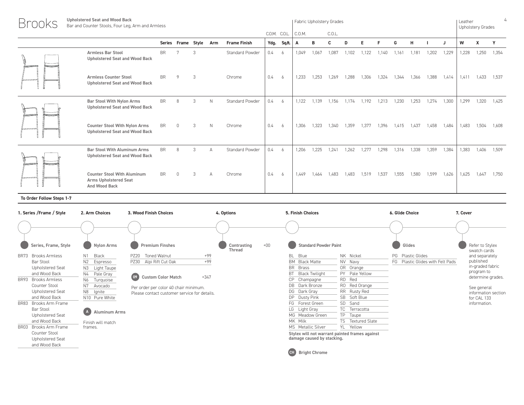| <b>Brooks</b> | <b>Upholstered Seat and Wood Back</b><br>Bar and Counter Stools, Four Leg, Arm and Armless |           |                        |               |              |                        |               | Fabric Upholstery Grades |        |       |        |       | Leather<br>Upholstery Grades |       |       |       |       |       |       |       |       |
|---------------|--------------------------------------------------------------------------------------------|-----------|------------------------|---------------|--------------|------------------------|---------------|--------------------------|--------|-------|--------|-------|------------------------------|-------|-------|-------|-------|-------|-------|-------|-------|
|               |                                                                                            |           |                        |               |              |                        | C.O.M. C.O.L. |                          | C.O.M. |       | C.O.L. |       |                              |       |       |       |       |       |       |       |       |
|               |                                                                                            |           | Series Frame Style Arm |               |              | <b>Frame Finish</b>    |               | Ydg. Sq.ft.              | A      | в     | C      | D     | Е                            |       | G     | н     |       |       | W     | x     | Y     |
|               | <b>Armless Bar Stool</b><br><b>Upholstered Seat and Wood Back</b>                          | BR        |                        | 3             |              | Standard Powder        | 0.4           | - 6                      | 1,049  | 1,067 | 1,087  | 1,102 | 1,122                        | 1,140 | 1,161 | 1,181 | 1,202 | 1,229 | 1,228 | 1,250 | 1,354 |
|               | <b>Armless Counter Stool</b><br><b>Upholstered Seat and Wood Back</b>                      | <b>BR</b> | $\circ$                | 3             |              | Chrome                 | 0.4           | 6                        | 1.233  | 1.253 | 1.269  | 1.288 | 1.306                        | 1,324 | 1.344 | 1.366 | 1.388 | 1.414 | 1,411 | 1.433 | 1,537 |
|               | <b>Bar Stool With Nylon Arms</b><br><b>Upholstered Seat and Wood Back</b>                  | <b>BR</b> | 8                      | 3             | $\mathbb{N}$ | Standard Powder        | 0.4           | 6                        | 1.122  | 1.139 | 1.156  | 1.174 | 1.192                        | 1.213 | 1,230 | 1,253 | 1.274 | 1,300 | 1,299 | 1,320 | 1,425 |
|               | <b>Counter Stool With Nylon Arms</b><br><b>Upholstered Seat and Wood Back</b>              | <b>BR</b> | $\cap$                 | $\mathcal{S}$ | N            | Chrome                 | 0.4           | 6                        | 1.306  | 1.323 | 1.340  | 1.359 | 1.377                        | 1,396 | 1.415 | 1.437 | 1.458 | 1,484 | 1,483 | 1,504 | 1,608 |
|               | <b>Bar Stool With Aluminum Arms</b><br><b>Upholstered Seat and Wood Back</b>               | <b>BR</b> | $\mathsf{R}$           | $\mathcal{R}$ |              | <b>Standard Powder</b> | 0.4           | 6                        | 1.206  | 1.225 | 1.241  | 1.262 | 1 277                        | 1.298 | 1,316 | 1.338 | 1.359 | 1,384 | 1,383 | 1,406 | 1,509 |
|               | <b>Counter Stool With Aluminum</b><br><b>Arms Upholstered Seat</b><br><b>And Wood Back</b> | <b>BR</b> |                        |               |              | Chrome                 | 0.4           | -6                       | 1.449  | 1.464 | 1.483  | 1,483 | 1,519                        | 1,537 | 1,555 | 1,580 | 1.599 | 1,626 | 1,625 | 1,647 | 1,750 |

| 1. Series / Frame / Style            | 2. Arm Choices                         | 3. Wood Finish Choices                       | 4. Options                            | 5. Finish Choices                 |                                                | 6. Glide Choice                  | 7. Cover                        |
|--------------------------------------|----------------------------------------|----------------------------------------------|---------------------------------------|-----------------------------------|------------------------------------------------|----------------------------------|---------------------------------|
|                                      |                                        |                                              |                                       |                                   |                                                |                                  |                                 |
| Series, Frame, Style                 | <b>Nylon Arms</b>                      | <b>Premium Finshes</b>                       | $+00$<br>Contrasting<br><b>Thread</b> | <b>Standard Powder Paint</b>      |                                                | Glides                           | Refer to Stylex<br>swatch cards |
| <b>Brooks Armless</b><br><b>BR73</b> | N1 Black                               | Toned Walnut<br>$+99$<br><b>PZ20</b>         |                                       | BL Blue                           | NK Nickel                                      | PG Plastic Glides                | and separately                  |
| Bar Stool                            | N2 Espresso                            | $+99$<br>Alpi Rift Cut Oak<br><b>PZ30</b>    |                                       | <b>BM</b> Black Matte             | NV Navy                                        | FG Plastic Glides with Felt Pads | published                       |
| Upholstered Seat                     | N3 Light Taupe                         |                                              |                                       | <b>BR</b><br>Brass                | OR Orange                                      |                                  | in-graded fabric                |
| and Wood Back                        | N4 Pale Gray                           |                                              |                                       | BT<br>Black Twilight              | PY Pale Yellow                                 |                                  | program to                      |
| <b>BR93</b><br><b>Brooks Armless</b> | N6<br>Turquoise                        | (09)<br>$+347$<br><b>Custom Color Match</b>  |                                       | <b>CP</b><br>Champagne            | <b>RD</b><br>Red                               |                                  | determine grades.               |
| Counter Stool                        | N7<br>Avocado                          | Per order per color 40 chair minimum.        |                                       | DB Dark Bronze                    | RO Red Orange                                  |                                  | See general                     |
| Upholstered Seat                     | N8 Ignite                              | Please contact customer service for details. |                                       | DG Dark Gray                      | <b>RR</b><br>Rusty Red                         |                                  | information section             |
| and Wood Back                        | N10 Pure White                         |                                              |                                       | DP Dusty Pink                     | <b>SB</b><br>Soft Blue                         |                                  | for CAL 133                     |
| Brooks Arm Frame<br><b>BR83</b>      |                                        |                                              |                                       | FG Forest Green                   | SD<br>Sand                                     |                                  | information.                    |
| Bar Stool                            | $(\mathbf{A})$<br><b>Aluminum Arms</b> |                                              |                                       | LG Light Gray                     | TC<br>Terracotta                               |                                  |                                 |
| Upholstered Seat                     |                                        |                                              |                                       | MG Meadow Green                   | <b>TP</b><br>Taupe                             |                                  |                                 |
| and Wood Back                        | Finish will match                      |                                              |                                       | MK Milk                           | TS.<br><b>Textured Slate</b>                   |                                  |                                 |
| BR03<br>Brooks Arm Frame             | frames.                                |                                              |                                       | MS Metallic Silver                | YL Yellow                                      |                                  |                                 |
| Counter Stool                        |                                        |                                              |                                       |                                   | Stylex will not warrant painted frames against |                                  |                                 |
| Upholstered Seat                     |                                        |                                              |                                       | damage caused by stacking.        |                                                |                                  |                                 |
| and Wood Back                        |                                        |                                              |                                       |                                   |                                                |                                  |                                 |
|                                      |                                        |                                              |                                       | <b>CH</b><br><b>Bright Chrome</b> |                                                |                                  |                                 |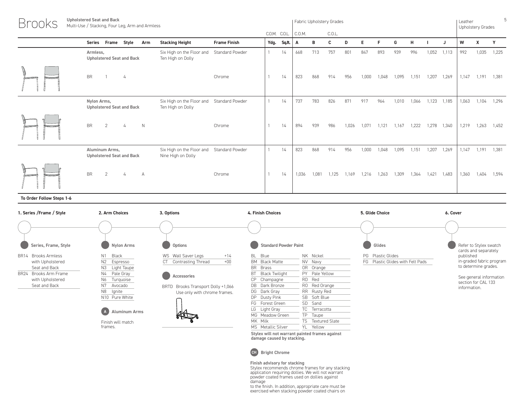| <b>Brooks</b> | <b>Upholstered Seat and Back</b><br>Multi-Use / Stacking, Four Leg, Arm and Armless |                                                                |                     |               |             |        |     | Fabric Upholstery Grades |       |       |       |       |       |       |       | Leather | Upholstery Grades |       |
|---------------|-------------------------------------------------------------------------------------|----------------------------------------------------------------|---------------------|---------------|-------------|--------|-----|--------------------------|-------|-------|-------|-------|-------|-------|-------|---------|-------------------|-------|
|               |                                                                                     |                                                                |                     | C.O.M. C.O.L. |             | C.O.M. |     | C.O.L.                   |       |       |       |       |       |       |       |         |                   |       |
|               | Series Frame Style<br>Arm                                                           | <b>Stacking Height</b>                                         | <b>Frame Finish</b> |               | Ydg. Sq.ft. | A      | в   | C                        | D     |       |       | G     | н     |       |       | W       | X                 | Y     |
|               | Armless,<br><b>Upholstered Seat and Back</b>                                        | Six High on the Floor and Standard Powder<br>Ten High on Dolly |                     |               | 14          | 668    | 713 | 757                      | 801   | 847   | 893   | 939   | 996   | 1,052 | 1,113 | 992     | 1,035             | 1,225 |
|               | <b>BR</b><br>4                                                                      |                                                                | Chrome              |               | 14          | 823    | 868 | 914                      | 956   | 1,000 | 1.048 | 1.095 | .151  | 1.207 | 1,269 | 1,147   | 1,191             | 1,381 |
|               | Nylon Arms,<br><b>Upholstered Seat and Back</b>                                     | Six High on the Floor and Standard Powder<br>Ten High on Dolly |                     |               | 14          | 737    | 783 | 826                      | 871   | 917   | 964   | 1,010 | 1,066 | 1,123 | 1,185 | 1,063   | 1,104             | 1,296 |
|               | <b>BR</b><br>2<br>$\mathbb N$                                                       |                                                                | Chrome              |               | 14          | 894    | 939 | 986                      | 1,026 | 1,071 | 1.121 | 1.167 | .222  | 1,278 | 1,340 | 1,219   | 1,263             | 1,452 |

Six High on the Floor and Standard Powder

Nine High on Dolly

5

**To Order Follow Steps 1-6**

**Aluminum Arms, Upholstered Seat and Back**



**Stylex will not warrant painted frames against damage caused by stacking.**

BR 2 4 A Chrome 1 14 1,036 1,081 1,125 1,169 1,216 1,263 1,309 1,364 1,421 1,483 1,360 1,404 1,594

Standard Powder 1 14 823 868 914 956 1,000 1,048 1,095 1,151 1,207 1,269 1,147 1,191 1,381



**Finish advisory for stacking** Stylex recommends chrome frames for any stacking application requiring dollies. We will not warrant powder coated frames used on dollies against damage

to the finish. In addition, appropriate care must be exercised when stacking powder coated chairs on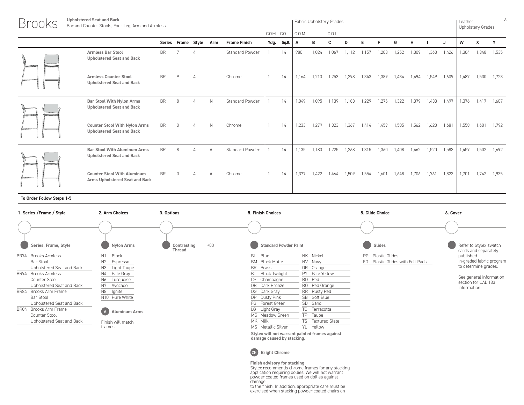| <b>Brooks</b> | <b>Upholstered Seat and Back</b><br>Bar and Counter Stools, Four Leg, Arm and Armless |           |                    |   |              |                        |      |               |        |       | Fabric Upholstery Grades |       |       |       |       |       |       |       | Leather | <b>Upholstery Grades</b> | 6     |
|---------------|---------------------------------------------------------------------------------------|-----------|--------------------|---|--------------|------------------------|------|---------------|--------|-------|--------------------------|-------|-------|-------|-------|-------|-------|-------|---------|--------------------------|-------|
|               |                                                                                       |           |                    |   |              |                        |      | C.O.M. C.O.L. | C.O.M. |       | C.O.L.                   |       |       |       |       |       |       |       |         |                          |       |
|               |                                                                                       |           | Series Frame Style |   | Arm          | <b>Frame Finish</b>    | Ydg. | Sq.ft.        | A      | B     | c                        | D     | F     | F     | G     | H     |       | - 1   | W       | x                        |       |
|               | <b>Armless Bar Stool</b><br><b>Upholstered Seat and Back</b>                          | <b>BR</b> |                    |   |              | Standard Powder        |      | 14            | 980    | 1,024 | 1,067                    | 1,112 | 1,157 | 1,203 | 1,252 | 1,309 | 1,363 | 1,426 | 1,304   | 1,348                    | 1,535 |
|               | <b>Armless Counter Stool</b><br><b>Upholstered Seat and Back</b>                      | <b>BR</b> |                    |   |              | Chrome                 |      | 14            | 1.164  | 1,210 | 1.253                    | 1,298 | 1,343 | 1,389 | 1,434 | 1.494 | 1.549 | 1,609 | 1,487   | 1,530                    | 1,723 |
|               | <b>Bar Stool With Nylon Arms</b><br><b>Upholstered Seat and Back</b>                  | <b>BR</b> | 8                  | 4 | $\mathbb{N}$ | <b>Standard Powder</b> |      | 14            | 1.049  | 1.095 | 1.139                    | 1.183 | 1,229 | 1,276 | 1,322 | 1.379 | 1.433 | 1.497 | 1,376   | 1.417                    | 1.607 |
|               | <b>Counter Stool With Nylon Arms</b><br><b>Upholstered Seat and Back</b>              | <b>BR</b> |                    |   | N            | Chrome                 |      | 14            | 1.233  | 1.279 | 1,323                    | 1.367 | 1.414 | .459  | ,505  | 1.562 | 1.620 | 1,681 | 1,558   | 1,601                    | 1,792 |
|               | <b>Bar Stool With Aluminum Arms</b><br><b>Upholstered Seat and Back</b>               | <b>BR</b> | $\mathsf{R}$       |   |              | Standard Powder        |      | 14            | 1.135  | 1.180 | 1.225                    | 1.268 | 1,315 | .360  | .408  | 1.462 | 1,520 | 1,583 | 1,459   | 1,502                    | 1,692 |
|               | <b>Counter Stool With Aluminum</b><br>Arms Upholstered Seat and Back                  | <b>BR</b> |                    |   |              | Chrome                 |      | 14            | 1,377  | 1,422 | 1.464                    | 1,509 | 1,554 | 1,601 | 1,648 | 1.706 | 1.761 | 1,823 | 1,701   | 1,742                    | 1,935 |

| 1. Series / Frame / Style       | 2. Arm Choices                    | 3. Options                            | 5. Finish Choices            |                                                | 5. Glide Choice                      | 6. Cover                                       |
|---------------------------------|-----------------------------------|---------------------------------------|------------------------------|------------------------------------------------|--------------------------------------|------------------------------------------------|
|                                 |                                   |                                       |                              |                                                |                                      |                                                |
| Series, Frame, Style            | Nylon Arms                        | $+00$<br>Contrasting<br><b>Thread</b> | <b>Standard Powder Paint</b> |                                                | Glides                               | Refer to Stylex swatch<br>cards and separately |
| <b>Brooks Armless</b><br>BR74   | Black<br>N <sub>1</sub>           |                                       | BL Blue                      | NK Nickel                                      | <b>PG</b> Plastic Glides             | published                                      |
| Bar Stool                       | N2<br>Espresso                    |                                       | BM Black Matte               | NV Navy                                        | Plastic Glides with Felt Pads<br>FG. | in-graded fabric program                       |
| Upholstered Seat and Back       | N3<br>Light Taupe                 |                                       | <b>BR</b><br><b>Brass</b>    | OR Orange                                      |                                      | to determine grades.                           |
| BR94 Brooks Armless             | Pale Gray<br>N4                   |                                       | BT<br>Black Twilight         | PY Pale Yellow                                 |                                      |                                                |
| Counter Stool                   | Turquoise<br>N6                   |                                       | CP.<br>Champagne             | RD Red                                         |                                      | See general information<br>section for CAL 133 |
| Upholstered Seat and Back       | N7<br>Avocado                     |                                       | DB Dark Bronze               | RO Red Orange                                  |                                      | information.                                   |
| Brooks Arm Frame<br><b>BR84</b> | N8<br>lgnite                      |                                       | DG Dark Gray                 | RR Rusty Red                                   |                                      |                                                |
| Bar Stool                       | N10 Pure White                    |                                       | DP Dusty Pink                | <b>SB</b><br>Soft Blue                         |                                      |                                                |
| Upholstered Seat and Back       |                                   |                                       | FG Forest Green              | SD Sand                                        |                                      |                                                |
| Brooks Arm Frame<br>BR04        | $\Lambda$<br><b>Aluminum Arms</b> |                                       | LG Light Gray                | TC Terracotta                                  |                                      |                                                |
| Counter Stool                   |                                   |                                       | MG Meadow Green              | TP Taupe                                       |                                      |                                                |
| Upholstered Seat and Back       | Finish will match                 |                                       | MK Milk                      | TS Textured Slate                              |                                      |                                                |
|                                 | frames.                           |                                       | MS Metallic Silver           | YL Yellow                                      |                                      |                                                |
|                                 |                                   |                                       | damage caused by stacking.   | Stylex will not warrant painted frames against |                                      |                                                |



Finish advisory for stacking<br>Stylex recommends chrome frames for any stacking<br>application requiring dollies. We will not warrant<br>powder coated frames used on dollies against<br>damage<br>to the finish. In addition, appropriate c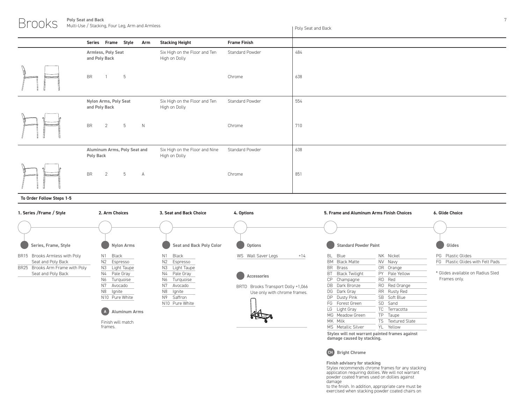**Poly Seat and Back** Multi-Use / Stacking, Four Leg, Arm and Armless

Poly Seat and Back

|                                           |                                                 |                     | r oly ocul uriu bucil |
|-------------------------------------------|-------------------------------------------------|---------------------|-----------------------|
| Series Frame Style Arm                    | <b>Stacking Height</b>                          | <b>Frame Finish</b> |                       |
| Armless, Poly Seat<br>and Poly Back       | Six High on the Floor and Ten<br>High on Dolly  | Standard Powder     | 484                   |
| <b>BR</b><br>5                            |                                                 | Chrome              | 638                   |
| Nylon Arms, Poly Seat<br>and Poly Back    | Six High on the Floor and Ten<br>High on Dolly  | Standard Powder     | 554                   |
| <b>BR</b><br>5<br>N<br>$\overline{2}$     |                                                 | Chrome              | 710                   |
| Aluminum Arms, Poly Seat and<br>Poly Back | Six High on the Floor and Nine<br>High on Dolly | Standard Powder     | 638                   |
| $\mathsf{BR}$<br>5<br>$\overline{2}$<br>A |                                                 | Chrome              | 851                   |

# **To Order Follow Steps 1-5**

Brooks



**Stylex will not warrant painted frames against damage caused by stacking.**



**Finish advisory for stacking** Stylex recommends chrome frames for any stacking application requiring dollies. We will not warrant powder coated frames used on dollies against damage

to the finish. In addition, appropriate care must be exercised when stacking powder coated chairs on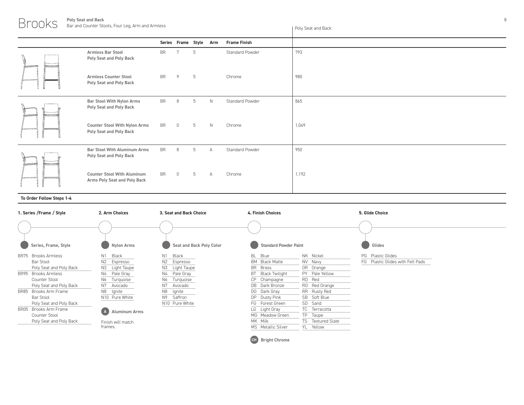# Brooks **Poly Seat and Back**

|                                                                    |           | Series Frame Style Arm |    |                | <b>Frame Finish</b> |       |
|--------------------------------------------------------------------|-----------|------------------------|----|----------------|---------------------|-------|
| <b>Armless Bar Stool</b><br>Poly Seat and Poly Back                | <b>BR</b> | 7                      | -5 |                | Standard Powder     | 793   |
| <b>Armless Counter Stool</b><br>Poly Seat and Poly Back            | <b>BR</b> | $\overline{9}$         | 5  |                | Chrome              | 980   |
| <b>Bar Stool With Nylon Arms</b><br>Poly Seat and Poly Back        | <b>BR</b> | 8                      | 5  | N              | Standard Powder     | 865   |
| <b>Counter Stool With Nylon Arms</b><br>Poly Seat and Poly Back    | <b>BR</b> | $\overline{0}$         | 5  | N              | Chrome              | 1,049 |
| Bar Stool With Aluminum Arms<br>Poly Seat and Poly Back            | <b>BR</b> | 8                      | 5  | $\overline{A}$ | Standard Powder     | 950   |
| <b>Counter Stool With Aluminum</b><br>Arms Poly Seat and Poly Back | BR        | $\overline{0}$         | 5  | $\overline{A}$ | Chrome              | 1,192 |

# **To Order Follow Steps 1-4**

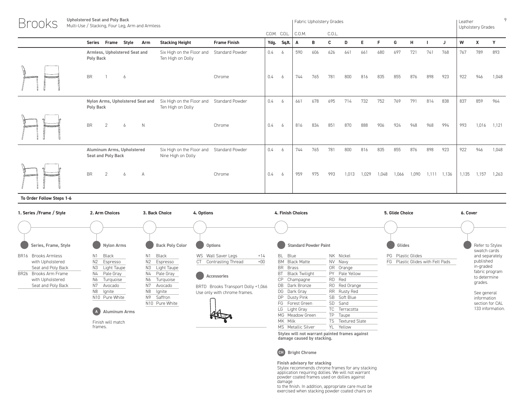| <b>Brooks</b> | <b>Upholstered Seat and Poly Back</b><br>Multi-Use / Stacking, Four Leg, Arm and Armless |                                                                |                        |      |               |        |     | Fabric Upholstery Grades |       |       |       |       |       |       |       | Leather | <b>Upholstery Grades</b> | 9     |
|---------------|------------------------------------------------------------------------------------------|----------------------------------------------------------------|------------------------|------|---------------|--------|-----|--------------------------|-------|-------|-------|-------|-------|-------|-------|---------|--------------------------|-------|
|               |                                                                                          |                                                                |                        |      | C.O.M. C.O.L. | C.O.M. |     | C.O.L.                   |       |       |       |       |       |       |       |         |                          |       |
|               | <b>Series</b><br>Frame<br>Style<br>Arm                                                   | <b>Stacking Height</b>                                         | <b>Frame Finish</b>    | Ydg. | Sq.ft.        |        | в   | C                        | D     | E.    |       | G     | H     |       | J     | W       | Х                        |       |
|               | Armless, Upholstered Seat and<br>Poly Back                                               | Six High on the Floor and<br>Ten High on Dolly                 | <b>Standard Powder</b> | 0.4  | -6            | 590    | 606 | 626                      | 641   | 661   | 680   | 697   | 721   | 741   | 768   | 767     | 789                      | 893   |
|               | <b>BR</b><br>6                                                                           |                                                                | Chrome                 | 0.4  | 6             | 744    | 765 | 781                      | 800   | 816   | 835   | 855   | 876   | 898   | 923   | 922     | 946                      | 1,048 |
|               | Nylon Arms, Upholstered Seat and<br>Poly Back                                            | Six High on the Floor and Standard Powder<br>Ten High on Dolly |                        | 0.4  | 6             | 661    | 678 | 695                      | 714   | 732   | 752   | 769   | 791   | 814   | 838   | 837     | 859                      | 964   |
|               | <b>BR</b><br>N<br>2<br>6                                                                 |                                                                | Chrome                 | 0.4  | 6             | 816    | 834 | 851                      | 870   | 888   | 906   | 924   | 948   | 968   | 994   | 993     | 1,016                    | 1,121 |
|               | Aluminum Arms, Upholstered<br>Seat and Poly Back                                         | Six High on the Floor and<br>Nine High on Dolly                | Standard Powder        | 0.4  | -6            | 744    | 765 | 781                      | 800   | 816   | 835   | 855   | 876   | 898   | 923   | 922     | 946                      | 1,048 |
|               | <b>BR</b><br>2<br>6<br>$\Delta$                                                          |                                                                | Chrome                 | 0.4  | 6             | 959    | 975 | 993                      | 1,013 | 1,029 | 1.048 | 1,066 | 1,090 | 1.111 | 1,136 | 135     | 1,157                    | 1,263 |

| 1. Series / Frame / Style                 | 2. Arm Choices              | 3. Back Choice         | 4. Options                         | 4. Finish Choices            |                   | 5. Glide Choice                  | 6. Cover                        |
|-------------------------------------------|-----------------------------|------------------------|------------------------------------|------------------------------|-------------------|----------------------------------|---------------------------------|
|                                           |                             |                        |                                    |                              |                   |                                  |                                 |
| Series, Frame, Style                      | <b>Nylon Arms</b>           | <b>Back Poly Color</b> | Options                            | <b>Standard Powder Paint</b> |                   | Glides                           | Refer to Stylex<br>swatch cards |
| <b>Brooks Armless</b><br>BR <sub>16</sub> | Black<br>N1                 | Black<br>N1.           | $+14$<br>WS Wall Saver Legs        | BL Blue                      | NK Nickel         | PG Plastic Glides                | and separately                  |
| with Upholstered                          | N2<br>Espresso              | N2<br>Espresso         | $+00$<br><b>Contrasting Thread</b> | <b>BM</b> Black Matte        | NV Navy           | FG Plastic Glides with Felt Pads | published                       |
| Seat and Poly Back                        | N3<br>Light Taupe           | N3 Light Taupe         |                                    | BR Brass                     | OR Orange         |                                  | in-graded                       |
| Brooks Arm Frame<br><b>BR26</b>           | N4<br>Pale Gray             | N4 Pale Gray           | Accessories                        | BT.<br>Black Twilight        | PY Pale Yellow    |                                  | fabric program                  |
| with Upholstered                          | N6<br>Turquoise             | N6<br>Turquoise        |                                    | CP.<br>Champagne             | RD Red            |                                  | to determine                    |
| Seat and Poly Back                        | N7<br>Avocado               | N7<br>Avocado          | BRTD Brooks Transport Dolly +1,066 | DB Dark Bronze               | RO Red Orange     |                                  | grades.                         |
|                                           | N8<br>lgnite                | N8<br>lgnite           | Use only with chrome frames.       | DG Dark Gray                 | RR Rusty Red      |                                  | See general                     |
|                                           | N10 Pure White              | N9<br>Saffron          |                                    | DP Dusty Pink                | SB Soft Blue      |                                  | information                     |
|                                           |                             | N10 Pure White         |                                    | FG Forest Green              | SD Sand           |                                  | section for CAL                 |
|                                           | <b>Aluminum Arms</b><br>(A) |                        |                                    | LG Light Gray                | TC Terracotta     |                                  | 133 information.                |
|                                           |                             |                        | 綜合                                 | MG Meadow Green              | TP Taupe          |                                  |                                 |
|                                           | Finish will match           |                        |                                    | MK Milk                      | TS Textured Slate |                                  |                                 |
|                                           | frames.                     |                        |                                    | MS Metallic Silver           | YL Yellow         |                                  |                                 |
|                                           |                             |                        |                                    |                              |                   |                                  |                                 |

**Stylex will not warrant painted frames against damage caused by stacking.**



**Finish advisory for stacking**<br>Stylex recommends chrome frames for any stacking<br>application requiring dollies. We will not warrant<br>powder coated frames used on dollies against<br>damage<br>to the finish. In addition, appropriate

exercised when stacking powder coated chairs on